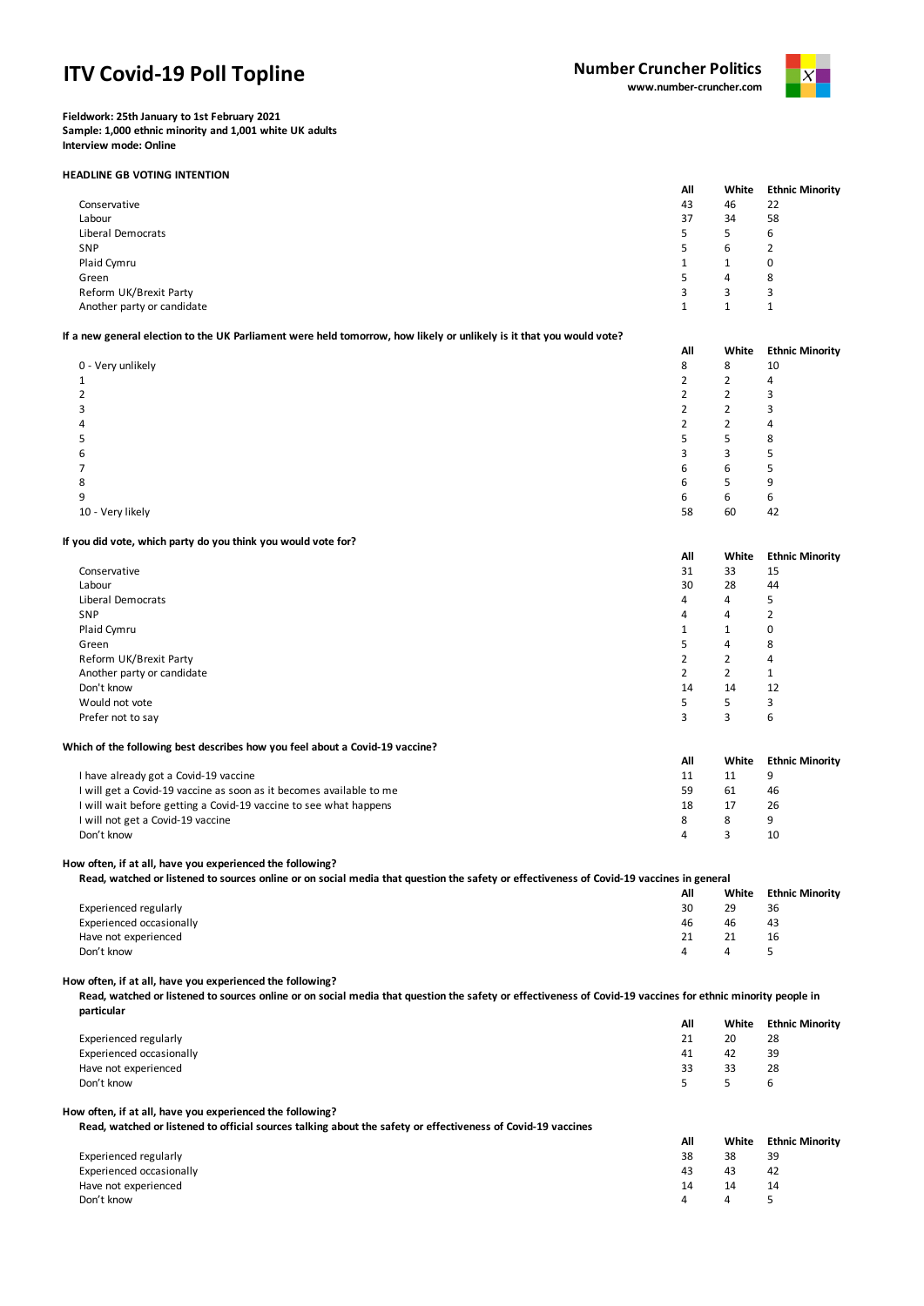# **ITV Covid-19 Poll Topline**



**Fieldwork: 25th January to 1st February 2021 Sample: 1,000 ethnic minority and 1,001 white UK adults Interview mode: Online**

## **HEADLINE GB VOTING INTENTION**

|                            | All | White | <b>Ethnic Minority</b> |
|----------------------------|-----|-------|------------------------|
| Conservative               | 43  | 46    | 22                     |
| Labour                     | 37  | 34    | 58                     |
| Liberal Democrats          | 5   | 5.    | 6                      |
| SNP                        | 5   | 6     |                        |
| Plaid Cymru                | 1   |       | 0                      |
| Green                      | 5.  | 4     | 8                      |
| Reform UK/Brexit Party     | 3   | 3     | 3                      |
| Another party or candidate |     |       |                        |

# **If a new general election to the UK Parliament were held tomorrow, how likely or unlikely is it that you would vote?**

|                   | All | White                    | <b>Ethnic Minority</b> |
|-------------------|-----|--------------------------|------------------------|
| 0 - Very unlikely | 8   | 8                        | 10                     |
|                   |     | <u>ີ</u>                 | 4                      |
| 2                 |     | $\overline{\phantom{0}}$ |                        |
| 3                 |     |                          |                        |
| 4                 |     |                          | 4                      |
| 5                 |     | 5                        | 8                      |
| 6                 |     | 3                        |                        |
|                   | 6   | 6                        |                        |
| 8                 | 6   | r.                       | q                      |
| 9                 | 6   | 6                        | 6                      |
| 10 - Very likely  | 58  | 60                       | 42                     |

## **If you did vote, which party do you think you would vote for?**

|                                                                              | All            | White                | <b>Ethnic Minority</b> |
|------------------------------------------------------------------------------|----------------|----------------------|------------------------|
| Conservative                                                                 | 31             | 33                   | 15                     |
| Labour                                                                       | 30             | 28                   | 44                     |
| Liberal Democrats                                                            | 4              | 4                    | 5                      |
| SNP                                                                          | 4              | 4                    | 2                      |
| Plaid Cymru                                                                  | 1              | $\blacktriangleleft$ | 0                      |
| Green                                                                        | 5              | 4                    | 8                      |
| Reform UK/Brexit Party                                                       | $\overline{2}$ | $\overline{2}$       | 4                      |
| Another party or candidate                                                   | $\overline{2}$ | 2                    | 1                      |
| Don't know                                                                   | 14             | 14                   | 12                     |
| Would not vote                                                               | 5              | 5                    | 3                      |
| Prefer not to say                                                            | 3              | 3                    | 6                      |
| Which of the following best describes how you feel about a Covid-19 vaccine? |                |                      |                        |
|                                                                              | All            | White                | <b>Ethnic Minority</b> |

| I have already got a Covid-19 vaccine                               |    |    |    |
|---------------------------------------------------------------------|----|----|----|
| I will get a Covid-19 vaccine as soon as it becomes available to me |    | 61 | 46 |
| I will wait before getting a Covid-19 vaccine to see what happens   | 18 |    | 26 |
| I will not get a Covid-19 vaccine                                   |    |    |    |
| Don't know                                                          |    |    | 10 |

#### **How often, if at all, have you experienced the following?**

| Read, watched or listened to sources online or on social media that question the safety or effectiveness of Covid-19 vaccines in general |     |       |                        |
|------------------------------------------------------------------------------------------------------------------------------------------|-----|-------|------------------------|
|                                                                                                                                          | All | White | <b>Ethnic Minority</b> |
| Experienced regularly                                                                                                                    | 30  | 29    | 36                     |
| Experienced occasionally                                                                                                                 | 46  | 46    | 43                     |
| Have not experienced                                                                                                                     |     | 21    | 16                     |
| Don't know                                                                                                                               |     |       |                        |

# **How often, if at all, have you experienced the following?**

**Read, watched or listened to sources online or on social media that question the safety or effectiveness of Covid-19 vaccines for ethnic minority people in particular**

|                          | All    | White | <b>Ethnic Minority</b> |
|--------------------------|--------|-------|------------------------|
| Experienced regularly    | 21     | 20    | 28                     |
| Experienced occasionally | 41     | 42    | 39                     |
| Have not experienced     | 33     | 33    | 28                     |
| Don't know               | $\sim$ |       | b                      |
|                          |        |       |                        |

## **How often, if at all, have you experienced the following?**

**Read, watched or listened to official sources talking about the safety or effectiveness of Covid-19 vaccines**

| mean, materied or insteried to orritan sources taining about the sarety or encementers or coving 25 vacantes. |     |       |                        |
|---------------------------------------------------------------------------------------------------------------|-----|-------|------------------------|
|                                                                                                               | All | White | <b>Ethnic Minority</b> |
| Experienced regularly                                                                                         | 38  | 38    | 39                     |
| Experienced occasionally                                                                                      | 43  | 43    | 42                     |
| Have not experienced                                                                                          | 14  | 14    | 14                     |
| Don't know                                                                                                    | Δ   | Δ     | ъ.                     |
|                                                                                                               |     |       |                        |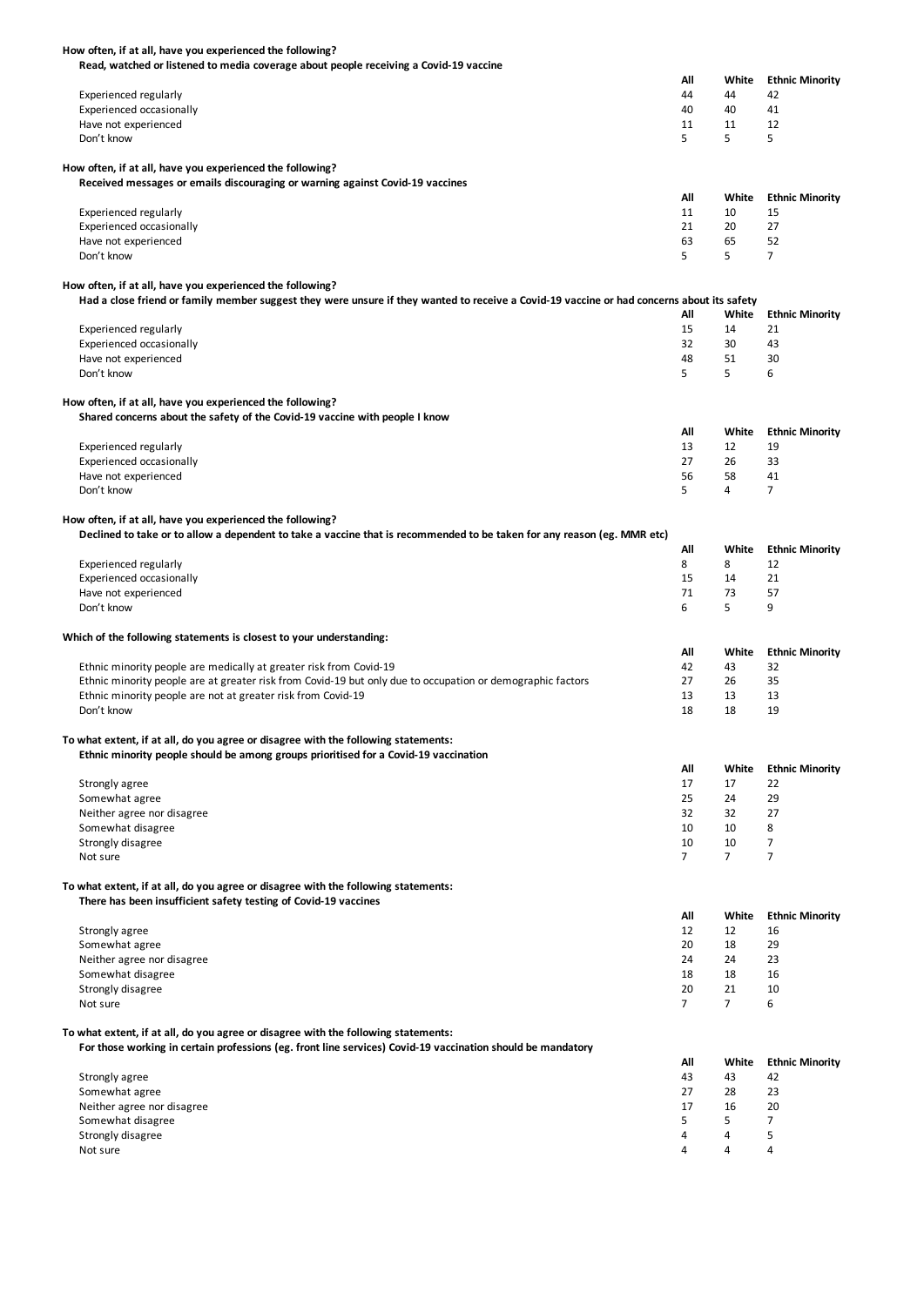| How often, if at all, have you experienced the following?                                                                                  |                |                |                        |
|--------------------------------------------------------------------------------------------------------------------------------------------|----------------|----------------|------------------------|
| Read, watched or listened to media coverage about people receiving a Covid-19 vaccine                                                      |                |                |                        |
|                                                                                                                                            | All            | White          | <b>Ethnic Minority</b> |
| <b>Experienced regularly</b>                                                                                                               | 44             | 44             | 42                     |
| Experienced occasionally                                                                                                                   | 40             | 40             | 41                     |
| Have not experienced                                                                                                                       | 11             | 11             | 12                     |
| Don't know                                                                                                                                 | 5              | 5              | 5                      |
|                                                                                                                                            |                |                |                        |
| How often, if at all, have you experienced the following?                                                                                  |                |                |                        |
| Received messages or emails discouraging or warning against Covid-19 vaccines                                                              |                |                |                        |
|                                                                                                                                            | All            | White          | <b>Ethnic Minority</b> |
| <b>Experienced regularly</b>                                                                                                               | 11             | 10             | 15                     |
| Experienced occasionally                                                                                                                   | 21             | 20             | 27                     |
| Have not experienced                                                                                                                       | 63             | 65             | 52                     |
| Don't know                                                                                                                                 | 5              | 5              | 7                      |
|                                                                                                                                            |                |                |                        |
| How often, if at all, have you experienced the following?                                                                                  |                |                |                        |
| Had a close friend or family member suggest they were unsure if they wanted to receive a Covid-19 vaccine or had concerns about its safety |                |                |                        |
|                                                                                                                                            | All            | White          | <b>Ethnic Minority</b> |
| <b>Experienced regularly</b>                                                                                                               | 15             | 14             | 21                     |
| Experienced occasionally                                                                                                                   | 32             | 30             | 43                     |
| Have not experienced                                                                                                                       | 48             | 51             | 30                     |
| Don't know                                                                                                                                 | 5              | 5              | 6                      |
|                                                                                                                                            |                |                |                        |
| How often, if at all, have you experienced the following?                                                                                  |                |                |                        |
| Shared concerns about the safety of the Covid-19 vaccine with people I know                                                                |                |                |                        |
|                                                                                                                                            | All            | White          | <b>Ethnic Minority</b> |
| <b>Experienced regularly</b>                                                                                                               | 13             | 12             | 19                     |
| Experienced occasionally                                                                                                                   | 27             | 26             | 33                     |
| Have not experienced                                                                                                                       | 56             | 58             | 41                     |
| Don't know                                                                                                                                 | 5              | 4              | 7                      |
|                                                                                                                                            |                |                |                        |
| How often, if at all, have you experienced the following?                                                                                  |                |                |                        |
| Declined to take or to allow a dependent to take a vaccine that is recommended to be taken for any reason (eg. MMR etc)                    |                |                |                        |
|                                                                                                                                            | All            | White          | <b>Ethnic Minority</b> |
| <b>Experienced regularly</b>                                                                                                               | 8              | 8              | 12                     |
| Experienced occasionally                                                                                                                   | 15             | 14             | 21                     |
| Have not experienced                                                                                                                       | 71             | 73             | 57                     |
| Don't know                                                                                                                                 | 6              | 5              | 9                      |
|                                                                                                                                            |                |                |                        |
| Which of the following statements is closest to your understanding:                                                                        |                |                |                        |
|                                                                                                                                            | All            | White          | <b>Ethnic Minority</b> |
| Ethnic minority people are medically at greater risk from Covid-19                                                                         | 42             | 43             | 32                     |
| Ethnic minority people are at greater risk from Covid-19 but only due to occupation or demographic factors                                 | 27             | 26             | 35                     |
| Ethnic minority people are not at greater risk from Covid-19                                                                               | 13             | 13             | 13                     |
| Don't know                                                                                                                                 | 18             | 18             | 19                     |
|                                                                                                                                            |                |                |                        |
| To what extent, if at all, do you agree or disagree with the following statements:                                                         |                |                |                        |
| Ethnic minority people should be among groups prioritised for a Covid-19 vaccination                                                       |                |                |                        |
|                                                                                                                                            | All            | White          | <b>Ethnic Minority</b> |
| Strongly agree                                                                                                                             | 17             | 17             | 22                     |
| Somewhat agree                                                                                                                             | 25             | 24             | 29                     |
| Neither agree nor disagree                                                                                                                 | 32             | 32             | 27                     |
|                                                                                                                                            |                |                | 8                      |
|                                                                                                                                            |                |                |                        |
| Somewhat disagree                                                                                                                          | 10             | 10             |                        |
| Strongly disagree                                                                                                                          | 10             | 10             | 7                      |
| Not sure                                                                                                                                   | $\overline{7}$ | $\overline{7}$ | $\overline{7}$         |
|                                                                                                                                            |                |                |                        |
| To what extent, if at all, do you agree or disagree with the following statements:                                                         |                |                |                        |
| There has been insufficient safety testing of Covid-19 vaccines                                                                            |                |                |                        |
|                                                                                                                                            | All            | White          | <b>Ethnic Minority</b> |
| Strongly agree                                                                                                                             | 12             | 12             | 16                     |
| Somewhat agree                                                                                                                             | 20             | 18             | 29                     |
| Neither agree nor disagree                                                                                                                 | 24             | 24             | 23                     |
| Somewhat disagree                                                                                                                          | 18             | 18             | 16                     |
| Strongly disagree                                                                                                                          | 20             | 21             | 10                     |
| Not sure                                                                                                                                   | $\overline{7}$ | $\overline{7}$ | 6                      |
|                                                                                                                                            |                |                |                        |
| To what extent, if at all, do you agree or disagree with the following statements:                                                         |                |                |                        |
| For those working in certain professions (eg. front line services) Covid-19 vaccination should be mandatory                                |                |                |                        |
|                                                                                                                                            | All            | White          | <b>Ethnic Minority</b> |
| Strongly agree                                                                                                                             | 43             | 43             | 42                     |
| Somewhat agree                                                                                                                             | 27             | 28             | 23                     |
| Neither agree nor disagree                                                                                                                 | 17             | 16             | 20                     |
| Somewhat disagree                                                                                                                          | 5              | 5              | 7                      |
| Strongly disagree<br>Not sure                                                                                                              | 4<br>4         | 4<br>4         | 5<br>4                 |